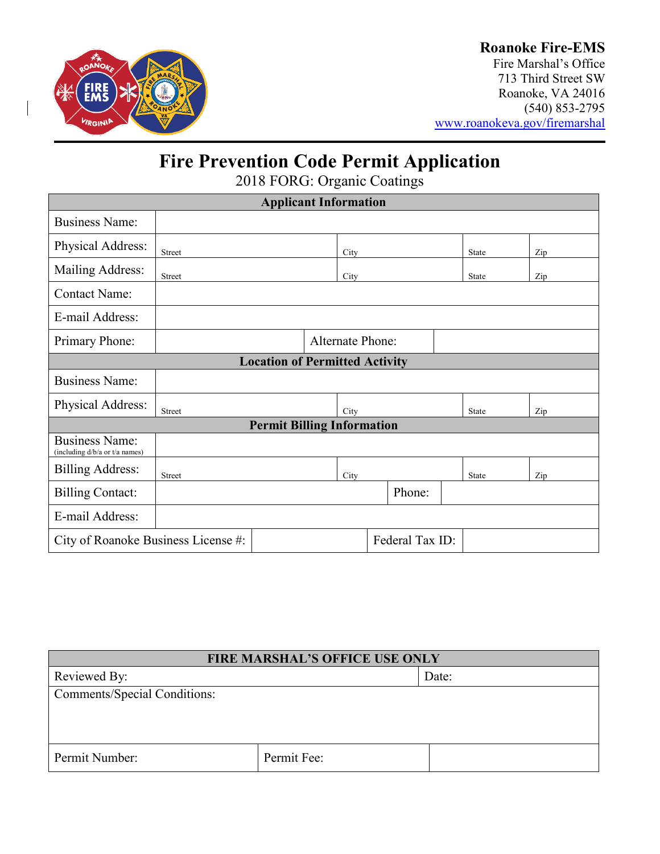

### **Roanoke Fire-EMS**

Fire Marshal's Office 713 Third Street SW Roanoke, VA 24016 (540) 853-2795 [www.roanokeva.gov/firemarshal](http://www.roanokeva.gov/firemarshal)

## **Fire Prevention Code Permit Application**

2018 FORG: Organic Coatings

| <b>Applicant Information</b>                            |                         |  |      |        |  |  |              |     |  |
|---------------------------------------------------------|-------------------------|--|------|--------|--|--|--------------|-----|--|
| <b>Business Name:</b>                                   |                         |  |      |        |  |  |              |     |  |
| Physical Address:                                       | Street                  |  | City |        |  |  | <b>State</b> | Zip |  |
| Mailing Address:                                        | Street                  |  | City |        |  |  | State        | Zip |  |
| <b>Contact Name:</b>                                    |                         |  |      |        |  |  |              |     |  |
| E-mail Address:                                         |                         |  |      |        |  |  |              |     |  |
| Primary Phone:                                          | <b>Alternate Phone:</b> |  |      |        |  |  |              |     |  |
| <b>Location of Permitted Activity</b>                   |                         |  |      |        |  |  |              |     |  |
| <b>Business Name:</b>                                   |                         |  |      |        |  |  |              |     |  |
| Physical Address:                                       | Street                  |  | City |        |  |  | <b>State</b> | Zip |  |
| <b>Permit Billing Information</b>                       |                         |  |      |        |  |  |              |     |  |
| <b>Business Name:</b><br>(including d/b/a or t/a names) |                         |  |      |        |  |  |              |     |  |
| <b>Billing Address:</b>                                 | Street                  |  | City |        |  |  | <b>State</b> | Zip |  |
| <b>Billing Contact:</b>                                 |                         |  |      | Phone: |  |  |              |     |  |
| E-mail Address:                                         |                         |  |      |        |  |  |              |     |  |
| Federal Tax ID:<br>City of Roanoke Business License #:  |                         |  |      |        |  |  |              |     |  |

| <b>FIRE MARSHAL'S OFFICE USE ONLY</b> |             |       |  |  |
|---------------------------------------|-------------|-------|--|--|
| Reviewed By:                          |             | Date: |  |  |
| Comments/Special Conditions:          |             |       |  |  |
|                                       |             |       |  |  |
|                                       |             |       |  |  |
| Permit Number:                        | Permit Fee: |       |  |  |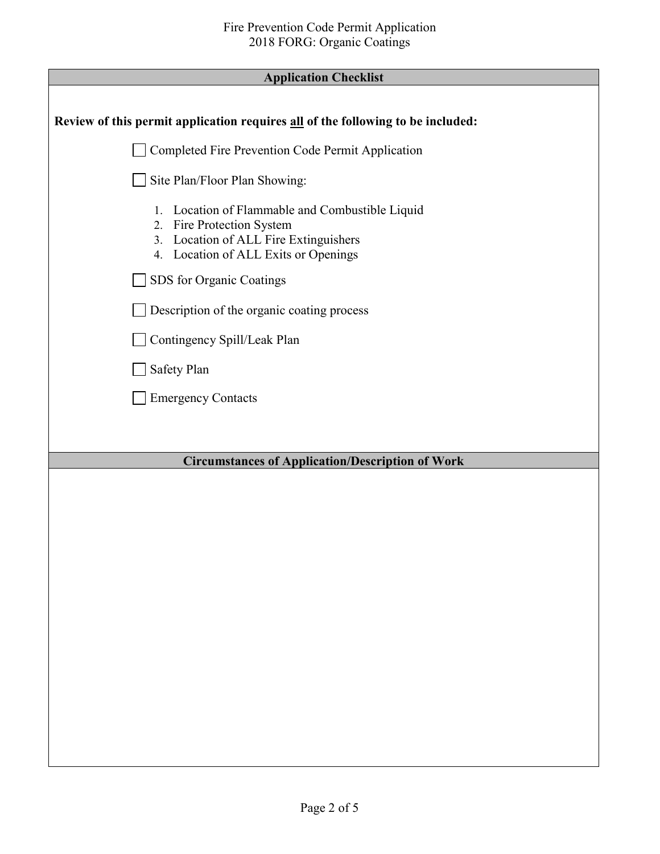| <b>Application Checklist</b> |  |
|------------------------------|--|
|------------------------------|--|

Г

| Tribucation Currentist                                                                                                                                           |
|------------------------------------------------------------------------------------------------------------------------------------------------------------------|
| Review of this permit application requires all of the following to be included:                                                                                  |
| Completed Fire Prevention Code Permit Application                                                                                                                |
| Site Plan/Floor Plan Showing:                                                                                                                                    |
| Location of Flammable and Combustible Liquid<br>1.<br>2. Fire Protection System<br>3. Location of ALL Fire Extinguishers<br>4. Location of ALL Exits or Openings |
| SDS for Organic Coatings                                                                                                                                         |
| Description of the organic coating process                                                                                                                       |
| Contingency Spill/Leak Plan                                                                                                                                      |
| Safety Plan                                                                                                                                                      |
| <b>Emergency Contacts</b>                                                                                                                                        |
|                                                                                                                                                                  |
| <b>Circumstances of Application/Description of Work</b>                                                                                                          |
|                                                                                                                                                                  |
|                                                                                                                                                                  |
|                                                                                                                                                                  |
|                                                                                                                                                                  |
|                                                                                                                                                                  |
|                                                                                                                                                                  |
|                                                                                                                                                                  |
|                                                                                                                                                                  |
|                                                                                                                                                                  |
|                                                                                                                                                                  |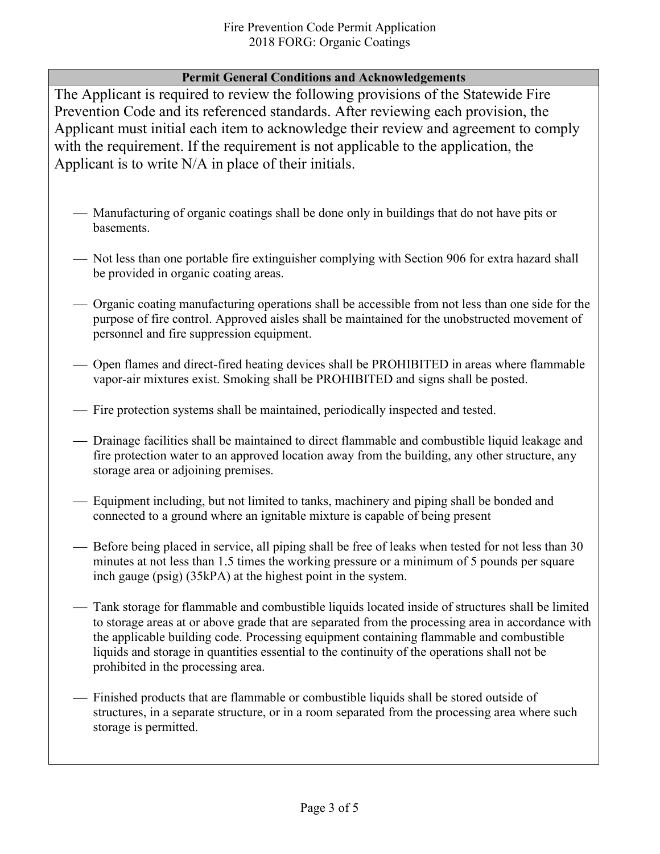#### **Permit General Conditions and Acknowledgements**

The Applicant is required to review the following provisions of the Statewide Fire Prevention Code and its referenced standards. After reviewing each provision, the Applicant must initial each item to acknowledge their review and agreement to comply with the requirement. If the requirement is not applicable to the application, the Applicant is to write N/A in place of their initials.

- Manufacturing of organic coatings shall be done only in buildings that do not have pits or basements.
- Not less than one portable fire extinguisher complying with Section 906 for extra hazard shall be provided in organic coating areas.
- Organic coating manufacturing operations shall be accessible from not less than one side for the purpose of fire control. Approved aisles shall be maintained for the unobstructed movement of personnel and fire suppression equipment.
- Open flames and direct-fired heating devices shall be PROHIBITED in areas where flammable vapor-air mixtures exist. Smoking shall be PROHIBITED and signs shall be posted.
- Fire protection systems shall be maintained, periodically inspected and tested.
- Drainage facilities shall be maintained to direct flammable and combustible liquid leakage and fire protection water to an approved location away from the building, any other structure, any storage area or adjoining premises.
- Equipment including, but not limited to tanks, machinery and piping shall be bonded and connected to a ground where an ignitable mixture is capable of being present
- Before being placed in service, all piping shall be free of leaks when tested for not less than 30 minutes at not less than 1.5 times the working pressure or a minimum of 5 pounds per square inch gauge (psig) (35kPA) at the highest point in the system.
- Tank storage for flammable and combustible liquids located inside of structures shall be limited to storage areas at or above grade that are separated from the processing area in accordance with the applicable building code. Processing equipment containing flammable and combustible liquids and storage in quantities essential to the continuity of the operations shall not be prohibited in the processing area.
- Finished products that are flammable or combustible liquids shall be stored outside of structures, in a separate structure, or in a room separated from the processing area where such storage is permitted.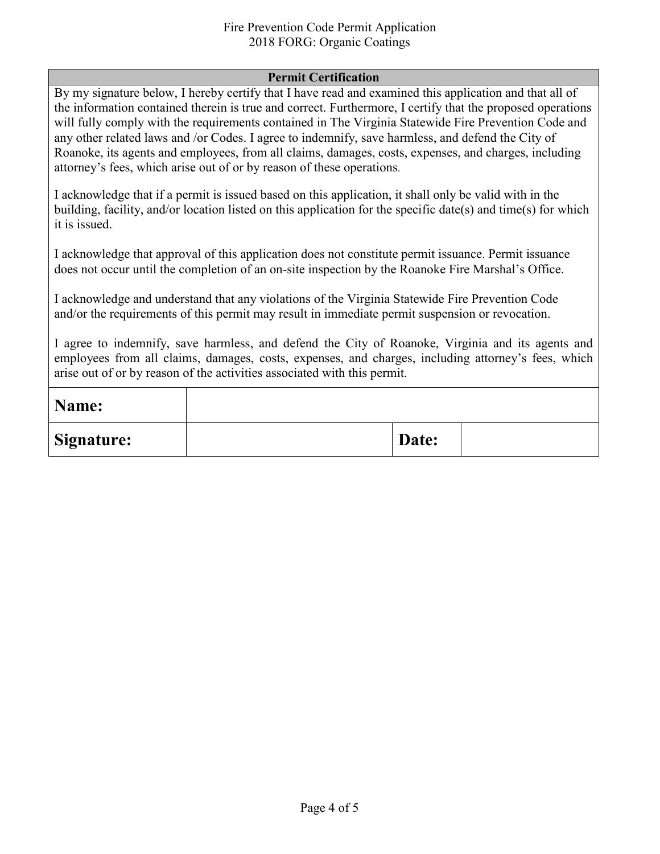#### Fire Prevention Code Permit Application 2018 FORG: Organic Coatings

#### **Permit Certification**

By my signature below, I hereby certify that I have read and examined this application and that all of the information contained therein is true and correct. Furthermore, I certify that the proposed operations will fully comply with the requirements contained in The Virginia Statewide Fire Prevention Code and any other related laws and /or Codes. I agree to indemnify, save harmless, and defend the City of Roanoke, its agents and employees, from all claims, damages, costs, expenses, and charges, including attorney's fees, which arise out of or by reason of these operations.

I acknowledge that if a permit is issued based on this application, it shall only be valid with in the building, facility, and/or location listed on this application for the specific date(s) and time(s) for which it is issued.

I acknowledge that approval of this application does not constitute permit issuance. Permit issuance does not occur until the completion of an on-site inspection by the Roanoke Fire Marshal's Office.

I acknowledge and understand that any violations of the Virginia Statewide Fire Prevention Code and/or the requirements of this permit may result in immediate permit suspension or revocation.

I agree to indemnify, save harmless, and defend the City of Roanoke, Virginia and its agents and employees from all claims, damages, costs, expenses, and charges, including attorney's fees, which arise out of or by reason of the activities associated with this permit.

| Name:             |       |  |
|-------------------|-------|--|
| <b>Signature:</b> | Date: |  |